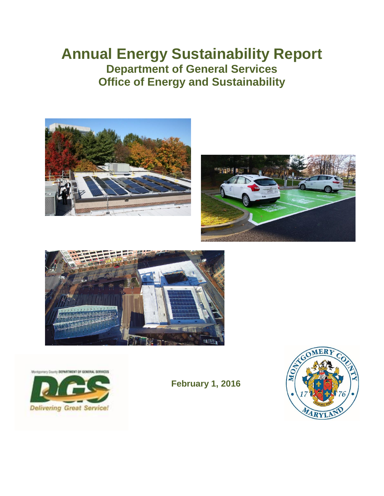# **Annual Energy Sustainability Report Department of General Services Office of Energy and Sustainability**







ry Dourty DEPARTMENT OF GENERAL SERVICES



**February 1, 2016**

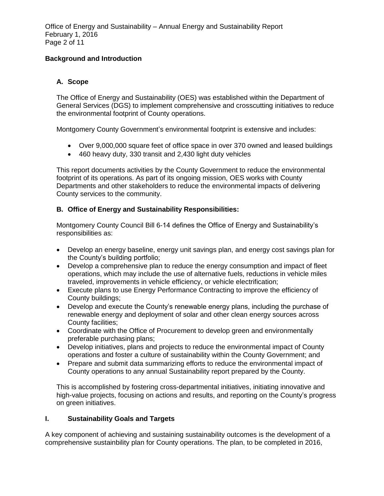#### **Background and Introduction**

#### **A. Scope**

The Office of Energy and Sustainability (OES) was established within the Department of General Services (DGS) to implement comprehensive and crosscutting initiatives to reduce the environmental footprint of County operations.

Montgomery County Government's environmental footprint is extensive and includes:

- Over 9,000,000 square feet of office space in over 370 owned and leased buildings
- 460 heavy duty, 330 transit and 2,430 light duty vehicles

This report documents activities by the County Government to reduce the environmental footprint of its operations. As part of its ongoing mission, OES works with County Departments and other stakeholders to reduce the environmental impacts of delivering County services to the community.

#### **B. Office of Energy and Sustainability Responsibilities:**

Montgomery County Council Bill 6-14 defines the Office of Energy and Sustainability's responsibilities as:

- Develop an energy baseline, energy unit savings plan, and energy cost savings plan for the County's building portfolio;
- Develop a comprehensive plan to reduce the energy consumption and impact of fleet operations, which may include the use of alternative fuels, reductions in vehicle miles traveled, improvements in vehicle efficiency, or vehicle electrification;
- Execute plans to use Energy Performance Contracting to improve the efficiency of County buildings;
- Develop and execute the County's renewable energy plans, including the purchase of renewable energy and deployment of solar and other clean energy sources across County facilities;
- Coordinate with the Office of Procurement to develop green and environmentally preferable purchasing plans;
- Develop initiatives, plans and projects to reduce the environmental impact of County operations and foster a culture of sustainability within the County Government; and
- Prepare and submit data summarizing efforts to reduce the environmental impact of County operations to any annual Sustainability report prepared by the County.

This is accomplished by fostering cross-departmental initiatives, initiating innovative and high-value projects, focusing on actions and results, and reporting on the County's progress on green initiatives.

#### **I. Sustainability Goals and Targets**

A key component of achieving and sustaining sustainability outcomes is the development of a comprehensive sustainbility plan for County operations. The plan, to be completed in 2016,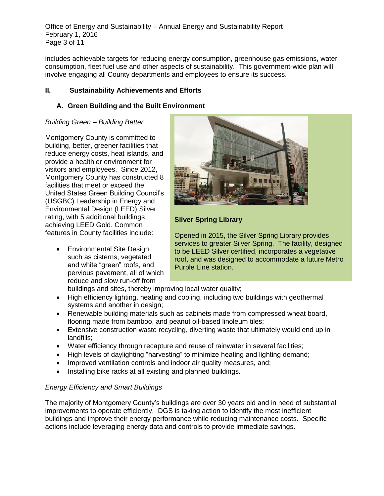Office of Energy and Sustainability – Annual Energy and Sustainability Report February 1, 2016 Page 3 of 11

includes achievable targets for reducing energy consumption, greenhouse gas emissions, water consumption, fleet fuel use and other aspects of sustainability. This government-wide plan will involve engaging all County departments and employees to ensure its success.

## **II. Sustainability Achievements and Efforts**

## **A. Green Building and the Built Environment**

## *Building Green – Building Better*

Montgomery County is committed to building, better, greener facilities that reduce energy costs, heat islands, and provide a healthier environment for visitors and employees. Since 2012, Montgomery County has constructed 8 facilities that meet or exceed the United States Green Building Council's (USGBC) Leadership in Energy and Environmental Design (LEED) Silver rating, with 5 additional buildings achieving LEED Gold. Common features in County facilities include:

 Environmental Site Design such as cisterns, vegetated and white "green" roofs, and pervious pavement, all of which reduce and slow run-off from



# **Silver Spring Library**

Opened in 2015, the Silver Spring Library provides services to greater Silver Spring. The facility, designed to be LEED Silver certified, incorporates a vegetative roof, and was designed to accommodate a future Metro Purple Line station.

buildings and sites, thereby improving local water quality;

- High efficiency lighting, heating and cooling, including two buildings with geothermal systems and another in design;
- Renewable building materials such as cabinets made from compressed wheat board, flooring made from bamboo, and peanut oil-based linoleum tiles;
- Extensive construction waste recycling, diverting waste that ultimately would end up in landfills;
- Water efficiency through recapture and reuse of rainwater in several facilities;
- High levels of daylighting "harvesting" to minimize heating and lighting demand;
- Improved ventilation controls and indoor air quality measures, and;
- Installing bike racks at all existing and planned buildings.

# *Energy Efficiency and Smart Buildings*

The majority of Montgomery County's buildings are over 30 years old and in need of substantial improvements to operate efficiently. DGS is taking action to identify the most inefficient buildings and improve their energy performance while reducing maintenance costs. Specific actions include leveraging energy data and controls to provide immediate savings.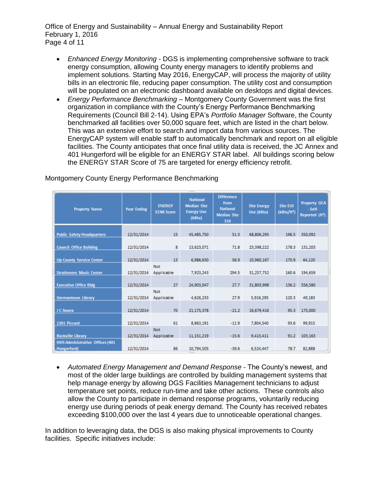Office of Energy and Sustainability – Annual Energy and Sustainability Report February 1, 2016 Page 4 of 11

- *Enhanced Energy Monitoring* DGS is implementing comprehensive software to track energy consumption, allowing County energy managers to identify problems and implement solutions. Starting May 2016, EnergyCAP, will process the majority of utility bills in an electronic file, reducing paper consumption. The utility cost and consumption will be populated on an electronic dashboard available on desktops and digital devices.
- *Energy Performance Benchmarking* Montgomery County Government was the first organization in compliance with the County's Energy Performance Benchmarking Requirements (Council Bill 2-14). Using EPA's *Portfolio Manager* Software, the County benchmarked all facilities over 50,000 square feet, which are listed in the chart below. This was an extensive effort to search and import data from various sources. The EnergyCAP system will enable staff to automatically benchmark and report on all eligible facilities. The County anticipates that once final utility data is received, the JC Annex and 401 Hungerford will be eligible for an ENERGY STAR label. All buildings scoring below the ENERGY STAR Score of 75 are targeted for energy efficiency retrofit.

| <b>Property Name</b>                   | <b>Year Ending</b> | <b>ENERGY</b><br><b>STAR Score</b> | <b>National</b><br><b>Median Site</b><br><b>Energy Use</b><br>(kBtu) | <b>Difference</b><br>from<br><b>National</b><br><b>Median Site</b><br><b>EUI</b> | <b>Site Energy</b><br>Use (kBtu) | <b>Site EUI</b><br>(kBtu/ft <sup>2</sup> ) | <b>Property GFA</b><br>- Self-<br>Reported (ft <sup>2</sup> ) |
|----------------------------------------|--------------------|------------------------------------|----------------------------------------------------------------------|----------------------------------------------------------------------------------|----------------------------------|--------------------------------------------|---------------------------------------------------------------|
|                                        |                    | 15                                 | 45,485,750                                                           | 51.3                                                                             |                                  | 196.5                                      |                                                               |
| <b>Public Safety Headquarters</b>      | 12/31/2014         |                                    |                                                                      |                                                                                  | 68,806,295                       |                                            | 350,092                                                       |
| <b>Council Office Building</b>         | 12/31/2014         | 8                                  | 13,623,071                                                           | 71.8                                                                             | 23,398,222                       | 178.3                                      | 131,203                                                       |
| <b>Up County Service Center</b>        | 12/31/2014         | 13                                 | 6,986,630                                                            | 56.9                                                                             | 10,960,167                       | 170.9                                      | 64,120                                                        |
| <b>Strathmore Music Center</b>         | 12/31/2014         | <b>Not</b><br>Applicable           | 7,923,243                                                            | 294.5                                                                            | 31,257,752                       | 160.6                                      | 194,659                                                       |
| <b>Executive Office Bldg</b>           | 12/31/2014         | 27                                 | 24,903,047                                                           | 27.7                                                                             | 31,803,998                       | 136.2                                      | 556,580                                                       |
| <b>Germantown Library</b>              | 12/31/2014         | <b>Not</b><br>Applicable           | 4,626,233                                                            | 27.9                                                                             | 5,916,295                        | 120.3                                      | 49,183                                                        |
| J C Annex                              | 12/31/2014         | 70                                 | 21,175,378                                                           | $-21.2$                                                                          | 16,679,416                       | 95.3                                       | 175,000                                                       |
| 1301 Piccard                           | 12/31/2014         | 61                                 | 8,863,191                                                            | $-11.9$                                                                          | 7,804,540                        | 93.6                                       | 99,915                                                        |
| <b>Rockville Library</b>               | 12/31/2014         | <b>Not</b><br>Applicable           | 11,151,219                                                           | $-15.6$                                                                          | 9,413,411                        | 91.2                                       | 103,163                                                       |
| <b>HHS Administrative Offices (401</b> |                    |                                    |                                                                      |                                                                                  |                                  |                                            |                                                               |
| Hungerford)                            | 12/31/2014         | 86                                 | 10,794,505                                                           | $-39.6$                                                                          | 6,524,447                        | 78.7                                       | 82,888                                                        |

Montgomery County Energy Performance Benchmarking

 *Automated Energy Management and Demand Response* - The County's newest, and most of the older large buildings are controlled by building management systems that help manage energy by allowing DGS Facilities Management technicians to adjust temperature set points, reduce run-time and take other actions. These controls also allow the County to participate in demand response programs, voluntarily reducing energy use during periods of peak energy demand. The County has received rebates exceeding \$100,000 over the last 4 years due to unnoticeable operational changes.

In addition to leveraging data, the DGS is also making physical improvements to County facilities. Specific initiatives include: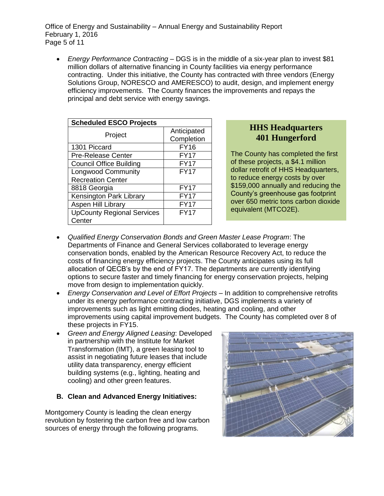Office of Energy and Sustainability – Annual Energy and Sustainability Report February 1, 2016 Page 5 of 11

 *Energy Performance Contracting* – DGS is in the middle of a six-year plan to invest \$81 million dollars of alternative financing in County facilities via energy performance contracting. Under this initiative, the County has contracted with three vendors (Energy Solutions Group, NORESCO and AMERESCO) to audit, design, and implement energy efficiency improvements. The County finances the improvements and repays the principal and debt service with energy savings.

| <b>Scheduled ESCO Projects</b>    |                           |  |  |
|-----------------------------------|---------------------------|--|--|
| Project                           | Anticipated<br>Completion |  |  |
| 1301 Piccard                      | <b>FY16</b>               |  |  |
| <b>Pre-Release Center</b>         | <b>FY17</b>               |  |  |
| <b>Council Office Building</b>    | <b>FY17</b>               |  |  |
| <b>Longwood Community</b>         | <b>FY17</b>               |  |  |
| <b>Recreation Center</b>          |                           |  |  |
| 8818 Georgia                      | <b>FY17</b>               |  |  |
| Kensington Park Library           | <b>FY17</b>               |  |  |
| Aspen Hill Library                | <b>FY17</b>               |  |  |
| <b>UpCounty Regional Services</b> | <b>FY17</b>               |  |  |
| Center                            |                           |  |  |

# **HHS Headquarters 401 Hungerford**

The County has completed the first of these projects, a \$4.1 million dollar retrofit of HHS Headquarters, to reduce energy costs by over \$159,000 annually and reducing the County's greenhouse gas footprint over 650 metric tons carbon dioxide equivalent (MTCO2E).

- *Qualified Energy Conservation Bonds and Green Master Lease Program*: The Departments of Finance and General Services collaborated to leverage energy conservation bonds, enabled by the American Resource Recovery Act, to reduce the costs of financing energy efficiency projects. The County anticipates using its full allocation of QECB's by the end of FY17. The departments are currently identifying options to secure faster and timely financing for energy conservation projects, helping move from design to implementation quickly.
- *Energy Conservation and Level of Effort Projects*  In addition to comprehensive retrofits under its energy performance contracting initiative, DGS implements a variety of improvements such as light emitting diodes, heating and cooling, and other improvements using capital improvement budgets. The County has completed over 8 of these projects in FY15.
- *Green and Energy Aligned Leasing*: Developed in partnership with the Institute for Market Transformation (IMT), a green leasing tool to assist in negotiating future leases that include utility data transparency, energy efficient building systems (e.g., lighting, heating and cooling) and other green features.

## **B. Clean and Advanced Energy Initiatives:**

Montgomery County is leading the clean energy revolution by fostering the carbon free and low carbon sources of energy through the following programs.

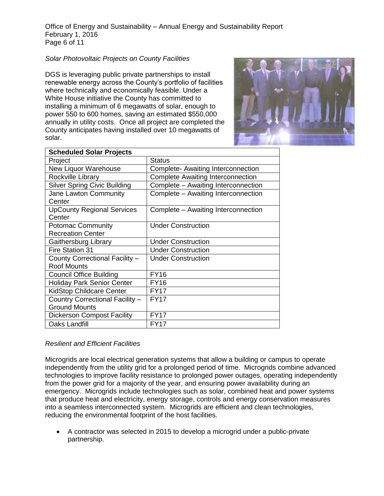Office of Energy and Sustainability – Annual Energy and Sustainability Report February 1, 2016 Page 6 of 11

#### *Solar Photovoltaic Projects on County Facilities*

DGS is leveraging public private partnerships to install renewable energy across the County's portfolio of facilities where technically and economically feasible. Under a White House initiative the County has committed to installing a minimum of 6 megawatts of solar, enough to power 550 to 600 homes, saving an estimated \$550,000 annually in utility costs. Once all project are completed the County anticipates having installed over 10 megawatts of solar.



| <b>Status</b>                            |  |  |
|------------------------------------------|--|--|
| Complete- Awaiting Interconnection       |  |  |
| <b>Complete Awaiting Interconnection</b> |  |  |
| Complete - Awaiting Interconnection      |  |  |
| Complete - Awaiting Interconnection      |  |  |
| Complete - Awaiting Interconnection      |  |  |
| <b>Under Construction</b>                |  |  |
|                                          |  |  |
| <b>Under Construction</b>                |  |  |
| <b>Under Construction</b>                |  |  |
| <b>Under Construction</b>                |  |  |
|                                          |  |  |
| <b>FY16</b>                              |  |  |
| <b>FY16</b>                              |  |  |
| <b>FY17</b>                              |  |  |
| <b>FY17</b>                              |  |  |
|                                          |  |  |
| <b>FY17</b>                              |  |  |
| <b>FY17</b>                              |  |  |
|                                          |  |  |

#### *Resilient and Efficient Facilities*

Microgrids are local electrical generation systems that allow a building or campus to operate independently from the utility grid for a prolonged period of time. Microgrids combine advanced technologies to improve facility resistance to prolonged power outages, operating independently from the power grid for a majority of the year, and ensuring power availability during an emergency. Microgrids include technologies such as solar, combined heat and power systems that produce heat and electricity, energy storage, controls and energy conservation measures into a seamless interconnected system. Microgrids are efficient and clean technologies, reducing the environmental footprint of the host facilities.

 A contractor was selected in 2015 to develop a microgrid under a public-private partnership.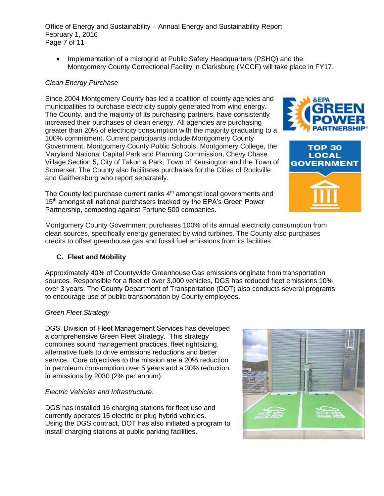Office of Energy and Sustainability – Annual Energy and Sustainability Report February 1, 2016 Page 7 of 11

• Implementation of a microgrid at Public Safety Headquarters (PSHQ) and the Montgomery County Correctional Facility in Clarksburg (MCCF) will take place in FY17.

### *Clean Energy Purchase*

Since 2004 Montgomery County has led a coalition of county agencies and municipalities to purchase electricity supply generated from wind energy. The County, and the majority of its purchasing partners, have consistently increased their purchases of clean energy. All agencies are purchasing greater than 20% of electricity consumption with the majority graduating to a 100% commitment. Current participants include Montgomery County Government, Montgomery County Public Schools, Montgomery College, the Maryland National Capital Park and Planning Commission, Chevy Chase Village Section 5, City of Takoma Park, Town of Kensington and the Town of Somerset. The County also facilitates purchases for the Cities of Rockville and Gaithersburg who report separately.

The County led purchase current ranks 4<sup>th</sup> amongst local governments and 15<sup>th</sup> amongst all national purchasers tracked by the EPA's Green Power Partnership, competing against Fortune 500 companies.

Montgomery County Government purchases 100% of its annual electricity consumption from clean sources, specifically energy generated by wind turbines. The County also purchases credits to offset greenhouse gas and fossil fuel emissions from its facilities.

#### **C. Fleet and Mobility**

Approximately 40% of Countywide Greenhouse Gas emissions originate from transportation sources. Responsible for a fleet of over 3,000 vehicles, DGS has reduced fleet emissions 10% over 3 years. The County Department of Transportation (DOT) also conducts several programs to encourage use of public transportation by County employees.

## *Green Fleet Strategy*

DGS' Division of Fleet Management Services has developed a comprehensive Green Fleet Strategy. This strategy combines sound management practices, fleet rightsizing, alternative fuels to drive emissions reductions and better service. Core objectives to the mission are a 20% reduction in petroleum consumption over 5 years and a 30% reduction in emissions by 2030 (2% per annum).

#### *Electric Vehicles and Infrastructure:*

DGS has installed 16 charging stations for fleet use and currently operates 15 electric or plug hybrid vehicles. Using the DGS contract, DOT has also initiated a program to install charging stations at public parking facilities.





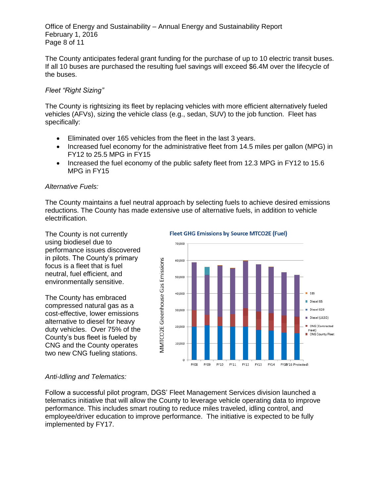Office of Energy and Sustainability – Annual Energy and Sustainability Report February 1, 2016 Page 8 of 11

The County anticipates federal grant funding for the purchase of up to 10 electric transit buses. If all 10 buses are purchased the resulting fuel savings will exceed \$6.4M over the lifecycle of the buses.

#### *Fleet "Right Sizing"*

The County is rightsizing its fleet by replacing vehicles with more efficient alternatively fueled vehicles (AFVs), sizing the vehicle class (e.g., sedan, SUV) to the job function. Fleet has specifically:

- Eliminated over 165 vehicles from the fleet in the last 3 years.
- Increased fuel economy for the administrative fleet from 14.5 miles per gallon (MPG) in FY12 to 25.5 MPG in FY15
- Increased the fuel economy of the public safety fleet from 12.3 MPG in FY12 to 15.6 MPG in FY15

#### *Alternative Fuels:*

The County maintains a fuel neutral approach by selecting fuels to achieve desired emissions reductions. The County has made extensive use of alternative fuels, in addition to vehicle electrification.

The County is not currently using biodiesel due to performance issues discovered in pilots. The County's primary focus is a fleet that is fuel neutral, fuel efficient, and environmentally sensitive.

The County has embraced compressed natural gas as a cost-effective, lower emissions alternative to diesel for heavy duty vehicles. Over 75% of the County's bus fleet is fueled by CNG and the County operates two new CNG fueling stations.

#### **Fleet GHG Emissions by Source MTCO2E (Fuel)**



#### *Anti-Idling and Telematics:*

Follow a successful pilot program, DGS' Fleet Management Services division launched a telematics initiative that will allow the County to leverage vehicle operating data to improve performance. This includes smart routing to reduce miles traveled, idling control, and employee/driver education to improve performance. The initiative is expected to be fully implemented by FY17.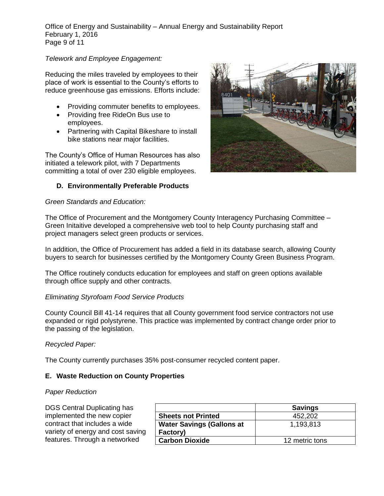Office of Energy and Sustainability – Annual Energy and Sustainability Report February 1, 2016 Page 9 of 11

#### *Telework and Employee Engagement:*

Reducing the miles traveled by employees to their place of work is essential to the County's efforts to reduce greenhouse gas emissions. Efforts include:

- Providing commuter benefits to employees.
- Providing free RideOn Bus use to employees.
- Partnering with Capital Bikeshare to install bike stations near major facilities.

The County's Office of Human Resources has also initiated a telework pilot, with 7 Departments committing a total of over 230 eligible employees.

#### **D. Environmentally Preferable Products**

#### *Green Standards and Education:*

The Office of Procurement and the Montgomery County Interagency Purchasing Committee – Green Initaitive developed a comprehensive web tool to help County purchasing staff and project managers select green products or services.

In addition, the Office of Procurement has added a field in its database search, allowing County buyers to search for businesses certified by the Montgomery County Green Business Program.

The Office routinely conducts education for employees and staff on green options available through office supply and other contracts.

#### *Eliminating Styrofoam Food Service Products*

County Council Bill 41-14 requires that all County government food service contractors not use expanded or rigid polystyrene. This practice was implemented by contract change order prior to the passing of the legislation.

#### *Recycled Paper:*

The County currently purchases 35% post-consumer recycled content paper.

#### **E. Waste Reduction on County Properties**

#### *Paper Reduction*

| DGS Central Duplicating has       |                                  | <b>Savings</b> |
|-----------------------------------|----------------------------------|----------------|
| implemented the new copier        | <b>Sheets not Printed</b>        | 452.202        |
| contract that includes a wide     | <b>Water Savings (Gallons at</b> | 1,193,813      |
| variety of energy and cost saving | Factory)                         |                |
| features. Through a networked     | <b>Carbon Dioxide</b>            | 12 metric tons |

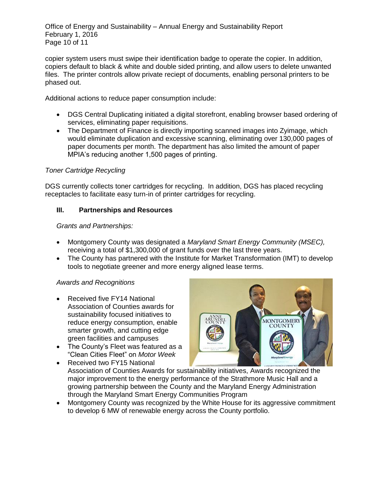Office of Energy and Sustainability – Annual Energy and Sustainability Report February 1, 2016 Page 10 of 11

copier system users must swipe their identification badge to operate the copier. In addition, copiers default to black & white and double sided printing, and allow users to delete unwanted files. The printer controls allow private reciept of documents, enabling personal printers to be phased out.

Additional actions to reduce paper consumption include:

- DGS Central Duplicating initiated a digital storefront, enabling browser based ordering of services, eliminating paper requisitions.
- The Department of Finance is directly importing scanned images into Zyimage, which would eliminate duplication and excessive scanning, eliminating over 130,000 pages of paper documents per month. The department has also limited the amount of paper MPIA's reducing another 1,500 pages of printing.

#### *Toner Cartridge Recycling*

DGS currently collects toner cartridges for recycling. In addition, DGS has placed recycling receptacles to facilitate easy turn-in of printer cartridges for recycling.

#### **III. Partnerships and Resources**

*Grants and Partnerships:*

- Montgomery County was designated a *Maryland Smart Energy Community (MSEC),* receiving a total of \$1,300,000 of grant funds over the last three years.
- The County has partnered with the Institute for Market Transformation (IMT) to develop tools to negotiate greener and more energy aligned lease terms.

#### *Awards and Recognitions*

- Received five FY14 National Association of Counties awards for sustainability focused initiatives to reduce energy consumption, enable smarter growth, and cutting edge green facilities and campuses
- The County's Fleet was featured as a "Clean Cities Fleet" on *Motor Week*



- Received two FY15 National Association of Counties Awards for sustainability initiatives, Awards recognized the major improvement to the energy performance of the Strathmore Music Hall and a growing partnership between the County and the Maryland Energy Administration through the Maryland Smart Energy Communities Program
- Montgomery County was recognized by the White House for its aggressive commitment to develop 6 MW of renewable energy across the County portfolio.